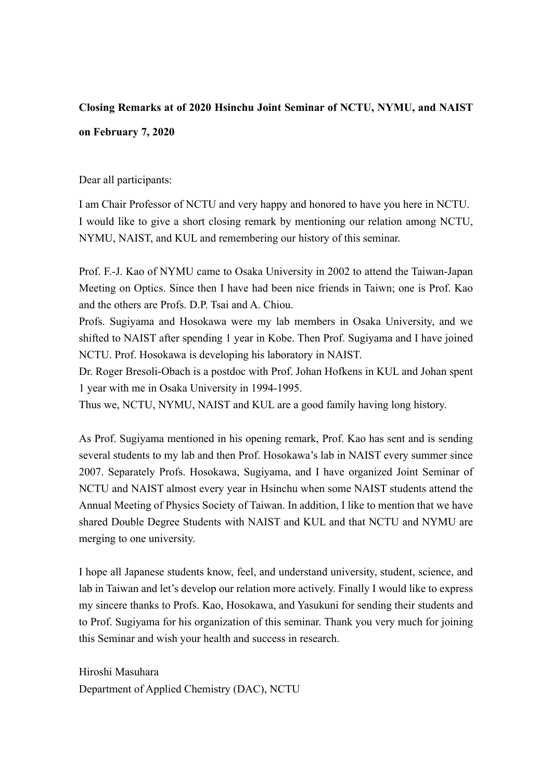## **Closing Remarks at of 2020 Hsinchu Joint Seminar of NCTU, NYMU, and NAIST**

## **on February 7, 2020**

Dear all participants:

I am Chair Professor of NCTU and very happy and honored to have you here in NCTU. I would like to give a short closing remark by mentioning our relation among NCTU, NYMU, NAIST, and KUL and remembering our history of this seminar.

Prof. F.-J. Kao of NYMU came to Osaka University in 2002 to attend the Taiwan-Japan Meeting on Optics. Since then I have had been nice friends in Taiwn; one is Prof. Kao and the others are Profs. D.P. Tsai and A. Chiou.

Profs. Sugiyama and Hosokawa were my lab members in Osaka University, and we shifted to NAIST after spending 1 year in Kobe. Then Prof. Sugiyama and I have joined NCTU. Prof. Hosokawa is developing his laboratory in NAIST.

Dr. Roger Bresoli-Obach is a postdoc with Prof. Johan Hofkens in KUL and Johan spent 1 year with me in Osaka University in 1994-1995.

Thus we, NCTU, NYMU, NAIST and KUL are a good family having long history.

As Prof. Sugiyama mentioned in his opening remark, Prof. Kao has sent and is sending several students to my lab and then Prof. Hosokawa's lab in NAIST every summer since 2007. Separately Profs. Hosokawa, Sugiyama, and I have organized Joint Seminar of NCTU and NAIST almost every year in Hsinchu when some NAIST students attend the Annual Meeting of Physics Society of Taiwan. In addition, I like to mention that we have shared Double Degree Students with NAIST and KUL and that NCTU and NYMU are merging to one university.

I hope all Japanese students know, feel, and understand university, student, science, and lab in Taiwan and let's develop our relation more actively. Finally I would like to express my sincere thanks to Profs. Kao, Hosokawa, and Yasukuni for sending their students and to Prof. Sugiyama for his organization of this seminar. Thank you very much for joining this Seminar and wish your health and success in research.

Hiroshi Masuhara Department of Applied Chemistry (DAC), NCTU